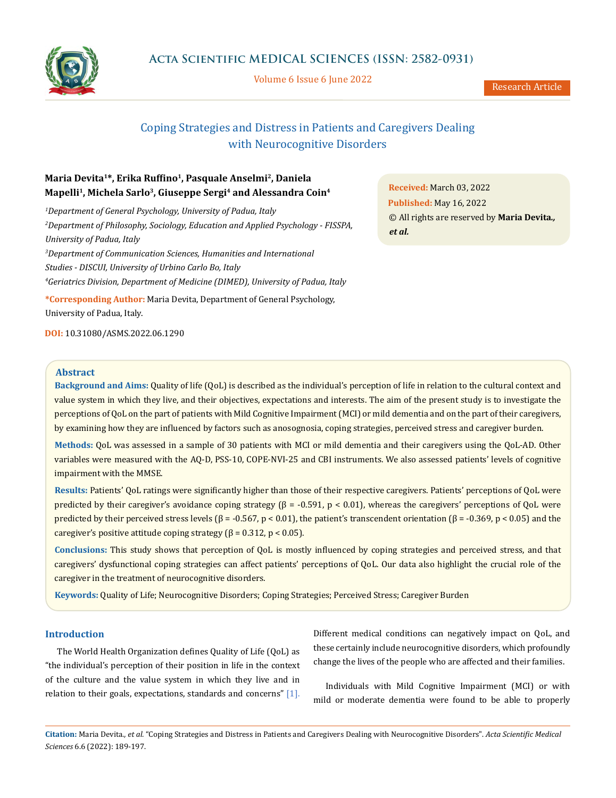

Volume 6 Issue 6 June 2022

# Coping Strategies and Distress in Patients and Caregivers Dealing with Neurocognitive Disorders

# **Maria Devita1\*, Erika Ruffino<sup>1</sup>, Pasquale Anselmi<sup>2</sup>, Daniela Mapelli1, Michela Sarlo3, Giuseppe Sergi4 and Alessandra Coin<sup>4</sup>**

 *Department of General Psychology, University of Padua, Italy Department of Philosophy, Sociology, Education and Applied Psychology - FISSPA, University of Padua, Italy Department of Communication Sciences, Humanities and International Studies - DISCUI, University of Urbino Carlo Bo, Italy Geriatrics Division, Department of Medicine (DIMED), University of Padua, Italy*

**\*Corresponding Author:** Maria Devita, Department of General Psychology, University of Padua, Italy.

**DOI:** [10.31080/ASMS.2022.06.1290](http://actascientific.com/ASMS/pdf/ASMS-06-1290.pdf)

**Received:** March 03, 2022 **Published:** May 16, 2022 © All rights are reserved by **Maria Devita***., et al.*

# **Abstract**

**Background and Aims:** Quality of life (QoL) is described as the individual's perception of life in relation to the cultural context and value system in which they live, and their objectives, expectations and interests. The aim of the present study is to investigate the perceptions of QoL on the part of patients with Mild Cognitive Impairment (MCI) or mild dementia and on the part of their caregivers, by examining how they are influenced by factors such as anosognosia, coping strategies, perceived stress and caregiver burden.

**Methods:** QoL was assessed in a sample of 30 patients with MCI or mild dementia and their caregivers using the QoL-AD. Other variables were measured with the AQ-D, PSS-10, COPE-NVI-25 and CBI instruments. We also assessed patients' levels of cognitive impairment with the MMSE.

**Results:** Patients' QoL ratings were significantly higher than those of their respective caregivers. Patients' perceptions of QoL were predicted by their caregiver's avoidance coping strategy (β = -0.591, p < 0.01), whereas the caregivers' perceptions of QoL were predicted by their perceived stress levels (β = -0.567, p < 0.01), the patient's transcendent orientation (β = -0.369, p < 0.05) and the caregiver's positive attitude coping strategy (β = 0.312, p < 0.05).

**Conclusions:** This study shows that perception of QoL is mostly influenced by coping strategies and perceived stress, and that caregivers' dysfunctional coping strategies can affect patients' perceptions of QoL. Our data also highlight the crucial role of the caregiver in the treatment of neurocognitive disorders.

**Keywords:** Quality of Life; Neurocognitive Disorders; Coping Strategies; Perceived Stress; Caregiver Burden

# **Introduction**

The World Health Organization defines Quality of Life (QoL) as "the individual's perception of their position in life in the context of the culture and the value system in which they live and in relation to their goals, expectations, standards and concerns" [1]. Different medical conditions can negatively impact on QoL, and these certainly include neurocognitive disorders, which profoundly change the lives of the people who are affected and their families.

Individuals with Mild Cognitive Impairment (MCI) or with mild or moderate dementia were found to be able to properly

**Citation:** Maria Devita*., et al.* "Coping Strategies and Distress in Patients and Caregivers Dealing with Neurocognitive Disorders". *Acta Scientific Medical Sciences* 6.6 (2022): 189-197.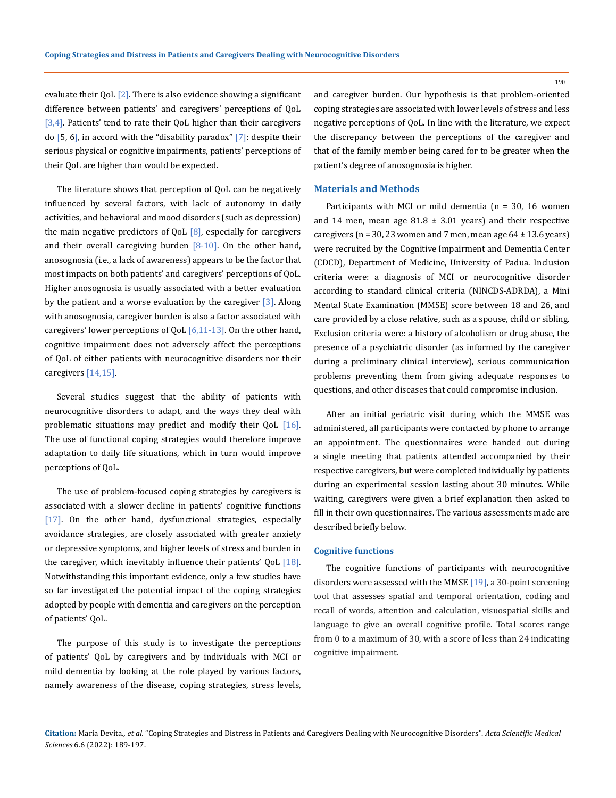evaluate their QoL  $[2]$ . There is also evidence showing a significant difference between patients' and caregivers' perceptions of QoL [3,4]. Patients' tend to rate their QoL higher than their caregivers do  $[5, 6]$ , in accord with the "disability paradox"  $[7]$ : despite their serious physical or cognitive impairments, patients' perceptions of their QoL are higher than would be expected.

The literature shows that perception of QoL can be negatively influenced by several factors, with lack of autonomy in daily activities, and behavioral and mood disorders (such as depression) the main negative predictors of  $QoL$   $[8]$ , especially for caregivers and their overall caregiving burden  $[8-10]$ . On the other hand, anosognosia (i.e., a lack of awareness) appears to be the factor that most impacts on both patients' and caregivers' perceptions of QoL. Higher anosognosia is usually associated with a better evaluation by the patient and a worse evaluation by the caregiver  $\lceil 3 \rceil$ . Along with anosognosia, caregiver burden is also a factor associated with caregivers' lower perceptions of QoL  $[6,11-13]$ . On the other hand, cognitive impairment does not adversely affect the perceptions of QoL of either patients with neurocognitive disorders nor their caregivers [14,15].

Several studies suggest that the ability of patients with neurocognitive disorders to adapt, and the ways they deal with problematic situations may predict and modify their QoL [16]. The use of functional coping strategies would therefore improve adaptation to daily life situations, which in turn would improve perceptions of QoL.

The use of problem-focused coping strategies by caregivers is associated with a slower decline in patients' cognitive functions [17]. On the other hand, dysfunctional strategies, especially avoidance strategies, are closely associated with greater anxiety or depressive symptoms, and higher levels of stress and burden in the caregiver, which inevitably influence their patients' QoL  $[18]$ . Notwithstanding this important evidence, only a few studies have so far investigated the potential impact of the coping strategies adopted by people with dementia and caregivers on the perception of patients' QoL.

The purpose of this study is to investigate the perceptions of patients' QoL by caregivers and by individuals with MCI or mild dementia by looking at the role played by various factors, namely awareness of the disease, coping strategies, stress levels, and caregiver burden. Our hypothesis is that problem-oriented coping strategies are associated with lower levels of stress and less negative perceptions of QoL. In line with the literature, we expect the discrepancy between the perceptions of the caregiver and that of the family member being cared for to be greater when the patient's degree of anosognosia is higher.

## **Materials and Methods**

Participants with MCI or mild dementia ( $n = 30$ , 16 women and 14 men, mean age  $81.8 \pm 3.01$  years) and their respective caregivers ( $n = 30$ , 23 women and 7 men, mean age  $64 \pm 13.6$  years) were recruited by the Cognitive Impairment and Dementia Center (CDCD), Department of Medicine, University of Padua. Inclusion criteria were: a diagnosis of MCI or neurocognitive disorder according to standard clinical criteria (NINCDS-ADRDA), a Mini Mental State Examination (MMSE) score between 18 and 26, and care provided by a close relative, such as a spouse, child or sibling. Exclusion criteria were: a history of alcoholism or drug abuse, the presence of a psychiatric disorder (as informed by the caregiver during a preliminary clinical interview), serious communication problems preventing them from giving adequate responses to questions, and other diseases that could compromise inclusion.

After an initial geriatric visit during which the MMSE was administered, all participants were contacted by phone to arrange an appointment. The questionnaires were handed out during a single meeting that patients attended accompanied by their respective caregivers, but were completed individually by patients during an experimental session lasting about 30 minutes. While waiting, caregivers were given a brief explanation then asked to fill in their own questionnaires. The various assessments made are described briefly below.

#### **Cognitive functions**

The cognitive functions of participants with neurocognitive disorders were assessed with the MMSE [19], a 30-point screening tool that assesses spatial and temporal orientation, coding and recall of words, attention and calculation, visuospatial skills and language to give an overall cognitive profile. Total scores range from 0 to a maximum of 30, with a score of less than 24 indicating cognitive impairment.

# **Citation:** Maria Devita*., et al.* "Coping Strategies and Distress in Patients and Caregivers Dealing with Neurocognitive Disorders". *Acta Scientific Medical Sciences* 6.6 (2022): 189-197.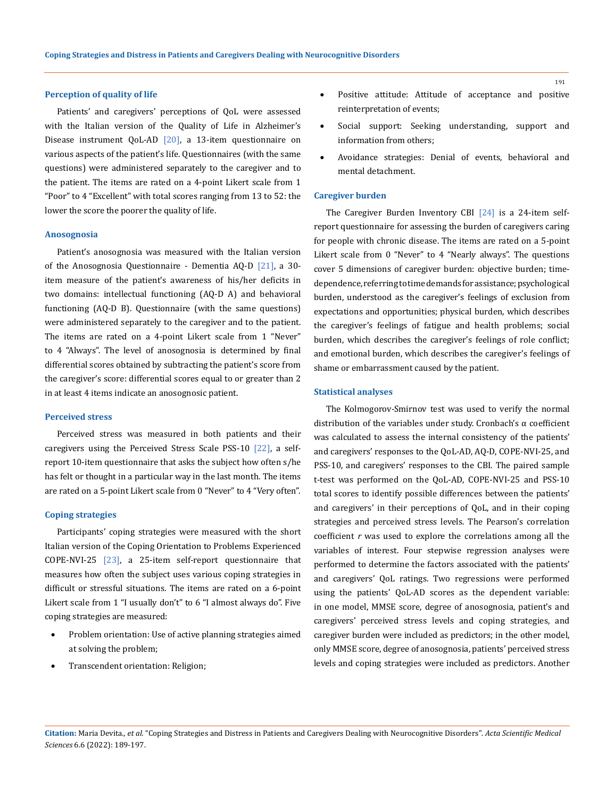## **Perception of quality of life**

Patients' and caregivers' perceptions of QoL were assessed with the Italian version of the Quality of Life in Alzheimer's Disease instrument QoL-AD [20], a 13-item questionnaire on various aspects of the patient's life. Questionnaires (with the same questions) were administered separately to the caregiver and to the patient. The items are rated on a 4-point Likert scale from 1 "Poor" to 4 "Excellent" with total scores ranging from 13 to 52: the lower the score the poorer the quality of life.

#### **Anosognosia**

Patient's anosognosia was measured with the Italian version of the Anosognosia Questionnaire - Dementia AQ-D [21], a 30 item measure of the patient's awareness of his/her deficits in two domains: intellectual functioning (AQ-D A) and behavioral functioning (AQ-D B). Questionnaire (with the same questions) were administered separately to the caregiver and to the patient. The items are rated on a 4-point Likert scale from 1 "Never" to 4 "Always". The level of anosognosia is determined by final differential scores obtained by subtracting the patient's score from the caregiver's score: differential scores equal to or greater than 2 in at least 4 items indicate an anosognosic patient.

#### **Perceived stress**

Perceived stress was measured in both patients and their caregivers using the Perceived Stress Scale PSS-10 [22], a selfreport 10-item questionnaire that asks the subject how often s/he has felt or thought in a particular way in the last month. The items are rated on a 5-point Likert scale from 0 "Never" to 4 "Very often".

### **Coping strategies**

Participants' coping strategies were measured with the short Italian version of the Coping Orientation to Problems Experienced COPE-NVI-25  $[23]$ , a 25-item self-report questionnaire that measures how often the subject uses various coping strategies in difficult or stressful situations. The items are rated on a 6-point Likert scale from 1 "I usually don't" to 6 "I almost always do". Five coping strategies are measured:

- • Problem orientation: Use of active planning strategies aimed at solving the problem;
- Transcendent orientation: Religion;
- Positive attitude: Attitude of acceptance and positive reinterpretation of events;
- Social support: Seeking understanding, support and information from others;
- Avoidance strategies: Denial of events, behavioral and mental detachment.

#### **Caregiver burden**

The Caregiver Burden Inventory CBI [24] is a 24-item selfreport questionnaire for assessing the burden of caregivers caring for people with chronic disease. The items are rated on a 5-point Likert scale from 0 "Never" to 4 "Nearly always". The questions cover 5 dimensions of caregiver burden: objective burden; timedependence, referring to time demands for assistance; psychological burden, understood as the caregiver's feelings of exclusion from expectations and opportunities; physical burden, which describes the caregiver's feelings of fatigue and health problems; social burden, which describes the caregiver's feelings of role conflict; and emotional burden, which describes the caregiver's feelings of shame or embarrassment caused by the patient.

#### **Statistical analyses**

The Kolmogorov-Smirnov test was used to verify the normal distribution of the variables under study. Cronbach's α coefficient was calculated to assess the internal consistency of the patients' and caregivers' responses to the QoL-AD, AQ-D, COPE-NVI-25, and PSS-10, and caregivers' responses to the CBI. The paired sample t-test was performed on the QoL-AD, COPE-NVI-25 and PSS-10 total scores to identify possible differences between the patients' and caregivers' in their perceptions of QoL, and in their coping strategies and perceived stress levels. The Pearson's correlation coefficient *r* was used to explore the correlations among all the variables of interest. Four stepwise regression analyses were performed to determine the factors associated with the patients' and caregivers' QoL ratings. Two regressions were performed using the patients' QoL-AD scores as the dependent variable: in one model, MMSE score, degree of anosognosia, patient's and caregivers' perceived stress levels and coping strategies, and caregiver burden were included as predictors; in the other model, only MMSE score, degree of anosognosia, patients' perceived stress levels and coping strategies were included as predictors. Another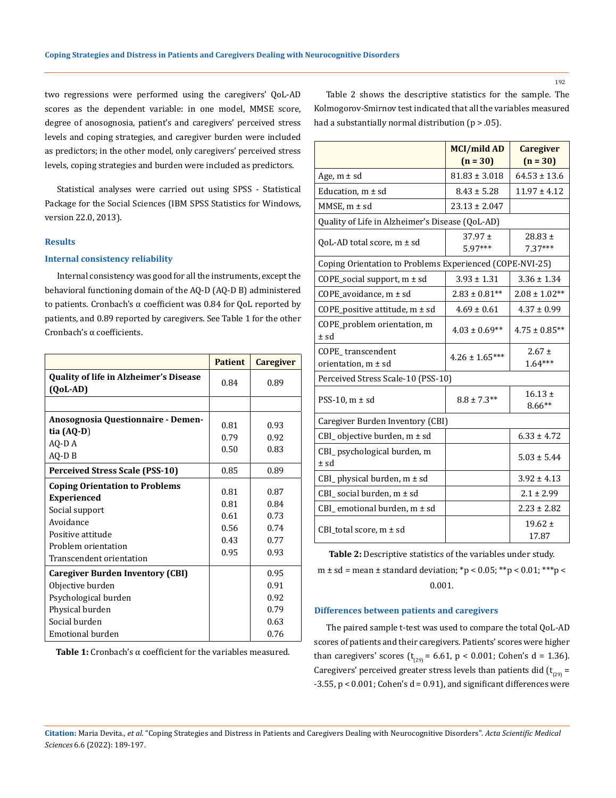two regressions were performed using the caregivers' QoL-AD scores as the dependent variable: in one model, MMSE score, degree of anosognosia, patient's and caregivers' perceived stress levels and coping strategies, and caregiver burden were included as predictors; in the other model, only caregivers' perceived stress levels, coping strategies and burden were included as predictors.

Statistical analyses were carried out using SPSS - Statistical Package for the Social Sciences (IBM SPSS Statistics for Windows, version 22.0, 2013).

### **Results**

## **Internal consistency reliability**

Internal consistency was good for all the instruments, except the behavioral functioning domain of the AQ-D (AQ-D B) administered to patients. Cronbach's α coefficient was 0.84 for QoL reported by patients, and 0.89 reported by caregivers. See Table 1 for the other Cronbach's α coefficients.

|                                                                                                                                                                    | <b>Patient</b>                               | <b>Caregiver</b>                             |
|--------------------------------------------------------------------------------------------------------------------------------------------------------------------|----------------------------------------------|----------------------------------------------|
| Quality of life in Alzheimer's Disease<br>$(QoL-AD)$                                                                                                               | 0.84                                         | 0.89                                         |
|                                                                                                                                                                    |                                              |                                              |
| Anosognosia Questionnaire - Demen-<br>tia $(AQ-D)$                                                                                                                 | 0.81<br>0.79                                 | 0.93<br>0.92                                 |
| AQ-D A<br>AQ-D B                                                                                                                                                   | 0.50                                         | 0.83                                         |
| <b>Perceived Stress Scale (PSS-10)</b>                                                                                                                             | 0.85                                         | 0.89                                         |
| <b>Coping Orientation to Problems</b><br><b>Experienced</b><br>Social support<br>Avoidance<br>Positive attitude<br>Problem orientation<br>Transcendent orientation | 0.81<br>0.81<br>0.61<br>0.56<br>0.43<br>0.95 | 0.87<br>0.84<br>0.73<br>0.74<br>0.77<br>0.93 |
| <b>Caregiver Burden Inventory (CBI)</b><br>Objective burden<br>Psychological burden<br>Physical burden<br>Social burden<br>Emotional burden                        |                                              | 0.95<br>0.91<br>0.92<br>0.79<br>0.63<br>0.76 |

**Table 1:** Cronbach's α coefficient for the variables measured.

Table 2 shows the descriptive statistics for the sample. The Kolmogorov-Smirnov test indicated that all the variables measured had a substantially normal distribution  $(p > .05)$ .

|                                                          | <b>MCI/mild AD</b><br>$(n = 30)$ | <b>Caregiver</b><br>$(n = 30)$ |
|----------------------------------------------------------|----------------------------------|--------------------------------|
| Age, $m \pm sd$                                          | $81.83 \pm 3.018$                | $64.53 \pm 13.6$               |
| Education, $m \pm sd$                                    | $8.43 \pm 5.28$                  | $11.97 \pm 4.12$               |
| $MMSE$ , m $\pm$ sd                                      | $23.13 \pm 2.047$                |                                |
| Quality of Life in Alzheimer's Disease (QoL-AD)          |                                  |                                |
| QoL-AD total score, $m \pm sd$                           | $37.97 \pm$<br>$5.97***$         | $28.83 \pm$<br>$7.37***$       |
| Coping Orientation to Problems Experienced (COPE-NVI-25) |                                  |                                |
| COPE_social support, $m \pm sd$                          | $3.93 \pm 1.31$                  | $3.36 \pm 1.34$                |
| COPE_avoidance, $m \pm sd$                               | $2.83 \pm 0.81**$                | $2.08 \pm 1.02**$              |
| COPE_positive attitude, $m \pm sd$                       | $4.69 \pm 0.61$                  | $4.37 \pm 0.99$                |
| COPE_problem orientation, m<br>± sd                      | $4.03 \pm 0.69**$                | $4.75 \pm 0.85***$             |
| COPE transcendent<br>orientation, m ± sd                 | $4.26 \pm 1.65***$               | $2.67 \pm$<br>$1.64***$        |
| Perceived Stress Scale-10 (PSS-10)                       |                                  |                                |
| PSS-10, $m \pm sd$                                       | $8.8 \pm 7.3**$                  | $16.13 \pm$<br>$8.66**$        |
| Caregiver Burden Inventory (CBI)                         |                                  |                                |
| CBI_objective burden, m ± sd                             |                                  | $6.33 \pm 4.72$                |
| CBI_psychological burden, m<br>± sd                      |                                  | $5.03 \pm 5.44$                |
| CBI_physical burden, m ± sd                              |                                  | $3.92 \pm 4.13$                |
| CBI_social burden, $m \pm sd$                            |                                  | $2.1 \pm 2.99$                 |
| CBI_emotional burden, $m \pm sd$                         |                                  | $2.23 \pm 2.82$                |
| CBI_total score, $m \pm sd$                              |                                  | $19.62 \pm$<br>17.87           |

**Table 2:** Descriptive statistics of the variables under study.

 $m \pm sd = mean \pm standard deviation$ ; \*p < 0.05; \*\*p < 0.01; \*\*\*p < 0.001.

# **Differences between patients and caregivers**

The paired sample t-test was used to compare the total QoL-AD scores of patients and their caregivers. Patients' scores were higher than caregivers' scores  $(t_{(29)} = 6.61, p < 0.001;$  Cohen's d = 1.36). Caregivers' perceived greater stress levels than patients did  $(t_{(29)} =$  $-3.55$ ,  $p < 0.001$ ; Cohen's d = 0.91), and significant differences were

**Citation:** Maria Devita*., et al.* "Coping Strategies and Distress in Patients and Caregivers Dealing with Neurocognitive Disorders". *Acta Scientific Medical Sciences* 6.6 (2022): 189-197.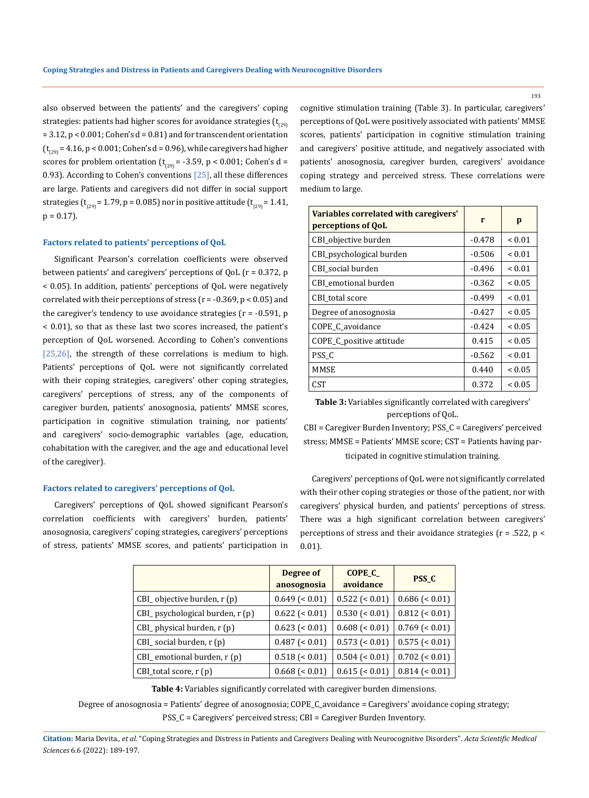also observed between the patients' and the caregivers' coping strategies: patients had higher scores for avoidance strategies ( $t_{\text{con}}$ = 3.12, p < 0.001; Cohen's d = 0.81) and for transcendent orientation  $(t_{(29)} = 4.16, p < 0.001;$  Cohen's d = 0.96), while caregivers had higher scores for problem orientation ( $t_{(29)}$  = -3.59, p < 0.001; Cohen's d = 0.93). According to Cohen's conventions  $[25]$ , all these differences are large. Patients and caregivers did not differ in social support strategies (t<sub>(29)</sub> = 1.79, p = 0.085) nor in positive attitude (t<sub>(29)</sub> = 1.41,  $p = 0.17$ ).

## **Factors related to patients' perceptions of QoL**

Significant Pearson's correlation coefficients were observed between patients' and caregivers' perceptions of QoL (r = 0.372, p < 0.05). In addition, patients' perceptions of QoL were negatively correlated with their perceptions of stress ( $r = -0.369$ ,  $p < 0.05$ ) and the caregiver's tendency to use avoidance strategies  $(r = -0.591, p)$ < 0.01), so that as these last two scores increased, the patient's perception of QoL worsened. According to Cohen's conventions [25,26], the strength of these correlations is medium to high. Patients' perceptions of QoL were not significantly correlated with their coping strategies, caregivers' other coping strategies, caregivers' perceptions of stress, any of the components of caregiver burden, patients' anosognosia, patients' MMSE scores, participation in cognitive stimulation training, nor patients' and caregivers' socio-demographic variables (age, education, cohabitation with the caregiver, and the age and educational level of the caregiver).

## **Factors related to caregivers' perceptions of QoL**

Caregivers' perceptions of QoL showed significant Pearson's correlation coefficients with caregivers' burden, patients' anosognosia, caregivers' coping strategies, caregivers' perceptions of stress, patients' MMSE scores, and patients' participation in cognitive stimulation training (Table 3). In particular, caregivers' perceptions of QoL were positively associated with patients' MMSE scores, patients' participation in cognitive stimulation training and caregivers' positive attitude, and negatively associated with patients' anosognosia, caregiver burden, caregivers' avoidance coping strategy and perceived stress. These correlations were medium to large.

| Variables correlated with caregivers'<br>perceptions of QoL | r        | p           |  |
|-------------------------------------------------------------|----------|-------------|--|
| CBI_objective burden                                        | $-0.478$ | ${}_{0.01}$ |  |
| CBI_psychological burden                                    | $-0.506$ | ${}_{0.01}$ |  |
| CBI social burden                                           | $-0.496$ | ${}_{0.01}$ |  |
| CBI emotional burden                                        | $-0.362$ | ${}_{0.05}$ |  |
| CBI total score                                             | $-0.499$ | ${}_{0.01}$ |  |
| Degree of anosognosia                                       | $-0.427$ | ${}_{0.05}$ |  |
| COPE C avoidance                                            | $-0.424$ | ${}_{0.05}$ |  |
| COPE_C_positive attitude                                    | 0.415    | ${}_{0.05}$ |  |
| PSS C                                                       | $-0.562$ | ${}_{0.01}$ |  |
| MMSE                                                        | 0.440    | ${}_{0.05}$ |  |
| <b>CST</b>                                                  | 0.372    | ${}_{0.05}$ |  |

**Table 3:** Variables significantly correlated with caregivers' perceptions of QoL.

CBI = Caregiver Burden Inventory; PSS\_C = Caregivers' perceived stress; MMSE = Patients' MMSE score; CST = Patients having participated in cognitive stimulation training.

Caregivers' perceptions of QoL were not significantly correlated with their other coping strategies or those of the patient, nor with caregivers' physical burden, and patients' perceptions of stress. There was a high significant correlation between caregivers' perceptions of stress and their avoidance strategies (r = .522, p < 0.01).

|                                 | Degree of<br>anosognosia | <b>COPE C</b><br>avoidance | <b>PSS C</b>         |  |
|---------------------------------|--------------------------|----------------------------|----------------------|--|
| CBI_objective burden, r (p)     | $0.649$ (< 0.01)         | $0.522$ (< 0.01)           | $0.686 \approx 0.01$ |  |
| CBI_psychological burden, r (p) | $0.622$ (< 0.01)         | 0.530 (< 0.01)             | $0.812$ (< 0.01)     |  |
| CBI_physical burden, r (p)      | $0.623$ (< 0.01)         | $0.608 (0.01)$             | $0.769$ (< 0.01)     |  |
| $CBI$ social burden, $r(p)$     | $0.487 (< 0.01$ )        | $0.573$ (< 0.01)           | $0.575$ (< 0.01)     |  |
| CBI_emotional burden, r (p)     | $0.518$ (< 0.01)         | 0.504 (< 0.01)             | $0.702$ (< 0.01)     |  |
| $CBI_{total score, r(p)}$       | $0.668$ (< 0.01)         | $0.615 \approx 0.01$       | $0.814 \approx 0.01$ |  |

**Table 4:** Variables significantly correlated with caregiver burden dimensions.

Degree of anosognosia = Patients' degree of anosognosia; COPE\_C\_avoidance = Caregivers' avoidance coping strategy;

PSS\_C = Caregivers' perceived stress; CBI = Caregiver Burden Inventory.

**Citation:** Maria Devita*., et al.* "Coping Strategies and Distress in Patients and Caregivers Dealing with Neurocognitive Disorders". *Acta Scientific Medical Sciences* 6.6 (2022): 189-197.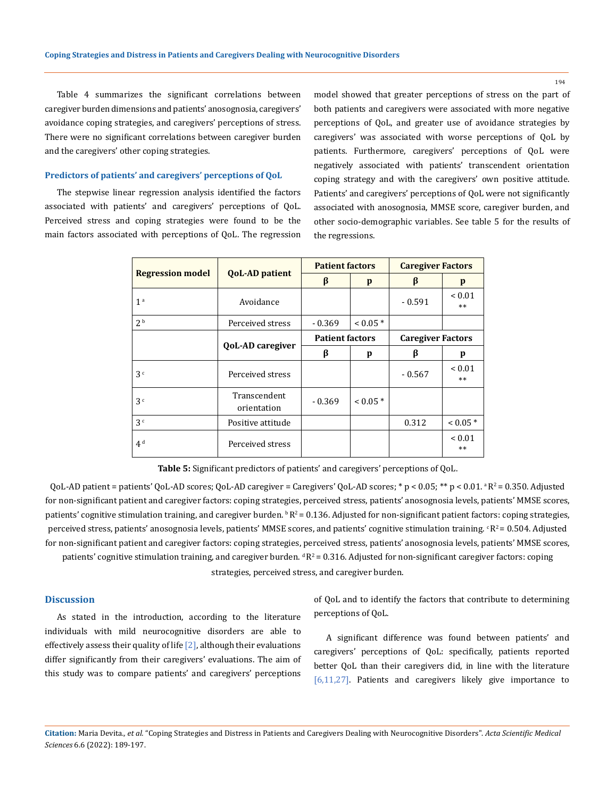194

Table 4 summarizes the significant correlations between caregiver burden dimensions and patients' anosognosia, caregivers' avoidance coping strategies, and caregivers' perceptions of stress. There were no significant correlations between caregiver burden and the caregivers' other coping strategies.

#### **Predictors of patients' and caregivers' perceptions of QoL**

The stepwise linear regression analysis identified the factors associated with patients' and caregivers' perceptions of QoL. Perceived stress and coping strategies were found to be the main factors associated with perceptions of QoL. The regression model showed that greater perceptions of stress on the part of both patients and caregivers were associated with more negative perceptions of QoL, and greater use of avoidance strategies by caregivers' was associated with worse perceptions of QoL by patients. Furthermore, caregivers' perceptions of QoL were negatively associated with patients' transcendent orientation coping strategy and with the caregivers' own positive attitude. Patients' and caregivers' perceptions of QoL were not significantly associated with anosognosia, MMSE score, caregiver burden, and other socio-demographic variables. See table 5 for the results of the regressions.

| <b>Regression model</b> | <b>QoL-AD patient</b>       | <b>Patient factors</b> |            | <b>Caregiver Factors</b> |                     |
|-------------------------|-----------------------------|------------------------|------------|--------------------------|---------------------|
|                         |                             | β                      | p          | β                        | p                   |
| 1 <sup>a</sup>          | Avoidance                   |                        |            | $-0.591$                 | ${}< 0.01$<br>$**$  |
| 2 <sup>b</sup>          | Perceived stress            | $-0.369$               | $0.05*$    |                          |                     |
|                         |                             | <b>Patient factors</b> |            | <b>Caregiver Factors</b> |                     |
|                         | <b>QoL-AD caregiver</b>     | β                      | p          | β                        | p                   |
| 3 <sup>c</sup>          | Perceived stress            |                        |            | $-0.567$                 | ${}_{0.01}$<br>$**$ |
| 3 <sup>c</sup>          | Transcendent<br>orientation | $-0.369$               | $< 0.05$ * |                          |                     |
| 3 <sup>c</sup>          | Positive attitude           |                        |            | 0.312                    | $0.05*$             |
| 4 <sup>d</sup>          | Perceived stress            |                        |            |                          | ${}_{0.01}$<br>$**$ |

**Table 5:** Significant predictors of patients' and caregivers' perceptions of QoL.

QoL-AD patient = patients' QoL-AD scores; QoL-AD caregiver = Caregivers' QoL-AD scores; \* p < 0.05; \*\* p < 0.01.  ${}^{8}R^2$  = 0.350. Adjusted for non-significant patient and caregiver factors: coping strategies, perceived stress, patients' anosognosia levels, patients' MMSE scores, patients' cognitive stimulation training, and caregiver burden.  $R^2 = 0.136$ . Adjusted for non-significant patient factors: coping strategies, perceived stress, patients' anosognosia levels, patients' MMSE scores, and patients' cognitive stimulation training.  $R^2 = 0.504$ . Adjusted for non-significant patient and caregiver factors: coping strategies, perceived stress, patients' anosognosia levels, patients' MMSE scores, patients' cognitive stimulation training, and caregiver burden.  $dR^2 = 0.316$ . Adjusted for non-significant caregiver factors: coping

strategies, perceived stress, and caregiver burden.

# **Discussion**

As stated in the introduction, according to the literature individuals with mild neurocognitive disorders are able to effectively assess their quality of life  $[2]$ , although their evaluations differ significantly from their caregivers' evaluations. The aim of this study was to compare patients' and caregivers' perceptions

of QoL and to identify the factors that contribute to determining perceptions of QoL.

A significant difference was found between patients' and caregivers' perceptions of QoL: specifically, patients reported better QoL than their caregivers did, in line with the literature [6,11,27]. Patients and caregivers likely give importance to

**Citation:** Maria Devita*., et al.* "Coping Strategies and Distress in Patients and Caregivers Dealing with Neurocognitive Disorders". *Acta Scientific Medical Sciences* 6.6 (2022): 189-197.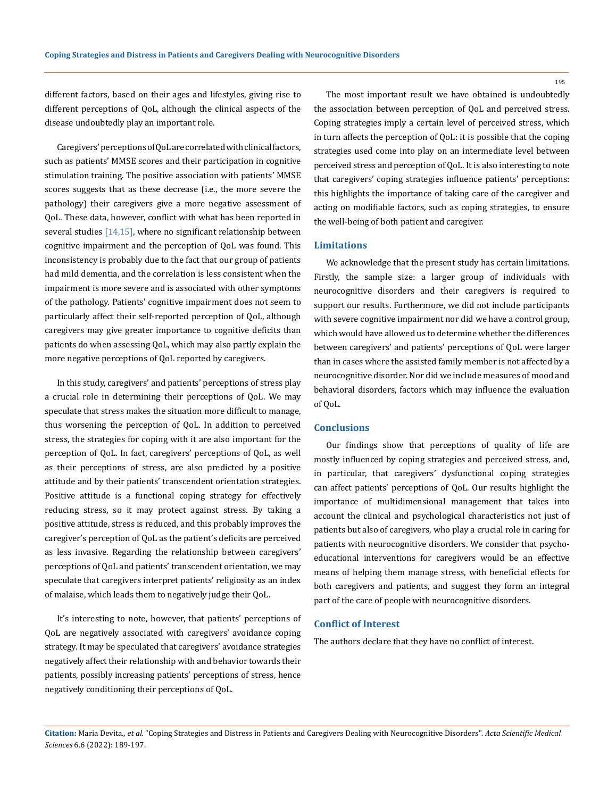different factors, based on their ages and lifestyles, giving rise to different perceptions of QoL, although the clinical aspects of the disease undoubtedly play an important role.

Caregivers' perceptions of QoL are correlated with clinical factors, such as patients' MMSE scores and their participation in cognitive stimulation training. The positive association with patients' MMSE scores suggests that as these decrease (i.e., the more severe the pathology) their caregivers give a more negative assessment of QoL. These data, however, conflict with what has been reported in several studies  $[14,15]$ , where no significant relationship between cognitive impairment and the perception of QoL was found. This inconsistency is probably due to the fact that our group of patients had mild dementia, and the correlation is less consistent when the impairment is more severe and is associated with other symptoms of the pathology. Patients' cognitive impairment does not seem to particularly affect their self-reported perception of QoL, although caregivers may give greater importance to cognitive deficits than patients do when assessing QoL, which may also partly explain the more negative perceptions of QoL reported by caregivers.

In this study, caregivers' and patients' perceptions of stress play a crucial role in determining their perceptions of QoL. We may speculate that stress makes the situation more difficult to manage, thus worsening the perception of QoL. In addition to perceived stress, the strategies for coping with it are also important for the perception of QoL. In fact, caregivers' perceptions of QoL, as well as their perceptions of stress, are also predicted by a positive attitude and by their patients' transcendent orientation strategies. Positive attitude is a functional coping strategy for effectively reducing stress, so it may protect against stress. By taking a positive attitude, stress is reduced, and this probably improves the caregiver's perception of QoL as the patient's deficits are perceived as less invasive. Regarding the relationship between caregivers' perceptions of QoL and patients' transcendent orientation, we may speculate that caregivers interpret patients' religiosity as an index of malaise, which leads them to negatively judge their QoL.

It's interesting to note, however, that patients' perceptions of QoL are negatively associated with caregivers' avoidance coping strategy. It may be speculated that caregivers' avoidance strategies negatively affect their relationship with and behavior towards their patients, possibly increasing patients' perceptions of stress, hence negatively conditioning their perceptions of QoL.

The most important result we have obtained is undoubtedly the association between perception of QoL and perceived stress. Coping strategies imply a certain level of perceived stress, which in turn affects the perception of QoL: it is possible that the coping strategies used come into play on an intermediate level between perceived stress and perception of QoL. It is also interesting to note that caregivers' coping strategies influence patients' perceptions: this highlights the importance of taking care of the caregiver and acting on modifiable factors, such as coping strategies, to ensure the well-being of both patient and caregiver.

## **Limitations**

We acknowledge that the present study has certain limitations. Firstly, the sample size: a larger group of individuals with neurocognitive disorders and their caregivers is required to support our results. Furthermore, we did not include participants with severe cognitive impairment nor did we have a control group, which would have allowed us to determine whether the differences between caregivers' and patients' perceptions of QoL were larger than in cases where the assisted family member is not affected by a neurocognitive disorder. Nor did we include measures of mood and behavioral disorders, factors which may influence the evaluation of QoL.

### **Conclusions**

Our findings show that perceptions of quality of life are mostly influenced by coping strategies and perceived stress, and, in particular, that caregivers' dysfunctional coping strategies can affect patients' perceptions of QoL. Our results highlight the importance of multidimensional management that takes into account the clinical and psychological characteristics not just of patients but also of caregivers, who play a crucial role in caring for patients with neurocognitive disorders. We consider that psychoeducational interventions for caregivers would be an effective means of helping them manage stress, with beneficial effects for both caregivers and patients, and suggest they form an integral part of the care of people with neurocognitive disorders.

#### **Conflict of Interest**

The authors declare that they have no conflict of interest.

**Citation:** Maria Devita*., et al.* "Coping Strategies and Distress in Patients and Caregivers Dealing with Neurocognitive Disorders". *Acta Scientific Medical Sciences* 6.6 (2022): 189-197.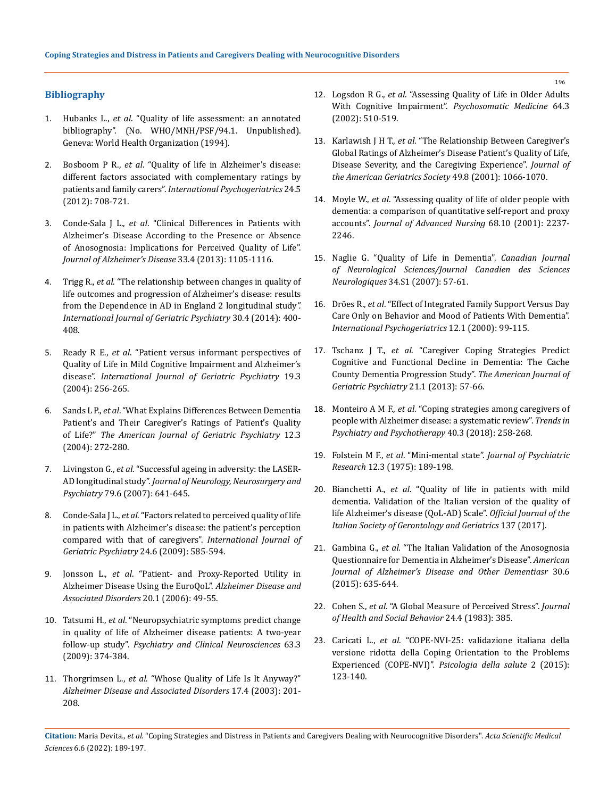# **Bibliography**

- 1. Hubanks L., *et al*[. "Quality of life assessment: an annotated](https://apps.who.int/iris/handle/10665/61629)  [bibliography". \(No. WHO/MNH/PSF/94.1. Unpublished\).](https://apps.who.int/iris/handle/10665/61629)  [Geneva: World Health Organization \(1994\).](https://apps.who.int/iris/handle/10665/61629)
- 2. Bosboom P R., *et al*[. "Quality of life in Alzheimer's disease:](https://doi.org/10.1017/s1041610211002493)  [different factors associated with complementary ratings by](https://doi.org/10.1017/s1041610211002493)  patients and family carers". *[International Psychogeriatrics](https://doi.org/10.1017/s1041610211002493)* 24.5 [\(2012\): 708-721.](https://doi.org/10.1017/s1041610211002493)
- 3. Conde-Sala J L., *et al*[. "Clinical Differences in Patients with](https://doi.org/10.3233/jad-2012-121360)  [Alzheimer's Disease According to the Presence or Absence](https://doi.org/10.3233/jad-2012-121360)  [of Anosognosia: Implications for Perceived Quality of Life".](https://doi.org/10.3233/jad-2012-121360)  *[Journal of Alzheimer's](https://doi.org/10.3233/jad-2012-121360) Disease* 33.4 (2013): 1105-1116.
- 4. Trigg R., *et al*[. "The relationship between changes in quality of](https://doi.org/10.1002/gps.4150)  [life outcomes and progression of Alzheimer's disease: results](https://doi.org/10.1002/gps.4150)  [from the Dependence in AD in England 2 longitudinal study](https://doi.org/10.1002/gps.4150)*". International [Journal of Geriatric Psychiatry](https://doi.org/10.1002/gps.4150)* 30.4 (2014): 400- [408.](https://doi.org/10.1002/gps.4150)
- 5. Ready R E., *et al*[. "Patient versus informant perspectives of](https://doi.org/10.1002/gps.1075)  [Quality of Life in Mild Cognitive Impairment and Alzheimer's](https://doi.org/10.1002/gps.1075)  disease". *[International Journal of Geriatric Psychiatry](https://doi.org/10.1002/gps.1075)* 19.3 [\(2004\): 256-265.](https://doi.org/10.1002/gps.1075)
- 6. Sands L P., *et al*[. "What Explains Differences Between Dementia](https://doi.org/10.1097/00019442-200405000-00006)  [Patient's and Their Caregiver's Ratings of Patient's Quality](https://doi.org/10.1097/00019442-200405000-00006)  of Life?" *[The American Journal of Geriatric Psychiatry](https://doi.org/10.1097/00019442-200405000-00006)* 12.3 [\(2004\): 272-280.](https://doi.org/10.1097/00019442-200405000-00006)
- 7. Livingston G., *et al*[. "Successful ageing in adversity: the LASER-](https://doi.org/10.1136/jnnp.2007.126706)AD longitudinal study". *[Journal of Neurology, Neurosurgery and](https://doi.org/10.1136/jnnp.2007.126706)  Psychiatry* [79.6 \(2007\): 641-645.](https://doi.org/10.1136/jnnp.2007.126706)
- 8. Conde-Sala J L., *et al*[. "Factors related to perceived quality of life](https://doi.org/10.1002/gps.2161)  [in patients with Alzheimer's disease: the patient's perception](https://doi.org/10.1002/gps.2161)  [compared with that of caregivers".](https://doi.org/10.1002/gps.2161) *International Journal of [Geriatric Psychiatry](https://doi.org/10.1002/gps.2161)* 24.6 (2009): 585-594.
- 9. Jonsson L., *et al*[. "Patient- and Proxy-Reported Utility in](https://doi.org/10.1097/01.wad.0000201851.52707.c9)  [Alzheimer Disease Using the EuroQoL".](https://doi.org/10.1097/01.wad.0000201851.52707.c9) *Alzheimer Disease and [Associated Disorders](https://doi.org/10.1097/01.wad.0000201851.52707.c9)* 20.1 (2006): 49-55.
- 10. Tatsumi H., *et al*[. "Neuropsychiatric symptoms predict change](https://doi.org/10.1111/j.1440-1819.2009.01955.x)  [in quality of life of Alzheimer disease patients: A two-year](https://doi.org/10.1111/j.1440-1819.2009.01955.x)  follow-up study". *[Psychiatry and Clinical Neurosciences](https://doi.org/10.1111/j.1440-1819.2009.01955.x)* 63.3 [\(2009\): 374-384.](https://doi.org/10.1111/j.1440-1819.2009.01955.x)
- 11. Thorgrimsen L., *et al*[. "Whose Quality of Life Is It Anyway?"](https://doi.org/10.1097/00002093-200310000-00002)  *[Alzheimer Disease and Associated Disorders](https://doi.org/10.1097/00002093-200310000-00002)* 17.4 (2003): 201- [208.](https://doi.org/10.1097/00002093-200310000-00002)
- 12. Logsdon R G., *et al*[. "Assessing Quality of Life in Older Adults](https://doi.org/10.1097/00006842-200205000-00016)  [With Cognitive Impairment".](https://doi.org/10.1097/00006842-200205000-00016) *Psychosomatic Medicine* 64.3 [\(2002\): 510-519.](https://doi.org/10.1097/00006842-200205000-00016)
- 13. Karlawish J H T., *et al*[. "The Relationship Between Caregiver's](https://doi.org/10.1046/j.1532-5415.2001.49210.x)  [Global Ratings of Alzheimer's Disease Patient's Quality of Life,](https://doi.org/10.1046/j.1532-5415.2001.49210.x)  [Disease Severity, and the Caregiving Experience".](https://doi.org/10.1046/j.1532-5415.2001.49210.x) *Journal of the American Geriatrics Society* [49.8 \(2001\): 1066-1070.](https://doi.org/10.1046/j.1532-5415.2001.49210.x)
- 14. Moyle W., *et al*[. "Assessing quality of life of older people with](https://doi.org/10.1111/j.1365-2648.2011.05912.x)  [dementia: a comparison of quantitative self-report and proxy](https://doi.org/10.1111/j.1365-2648.2011.05912.x)  accounts". *[Journal of Advanced Nursing](https://doi.org/10.1111/j.1365-2648.2011.05912.x)* 68.10 (2001): 2237- [2246.](https://doi.org/10.1111/j.1365-2648.2011.05912.x)
- 15. [Naglie G. "Quality of Life in Dementia".](https://doi.org/10.1017/s0317167100005588) *Canadian Journal [of Neurological Sciences/Journal Canadien des](https://doi.org/10.1017/s0317167100005588) Sciences Neurologiques* [34.S1 \(2007\): 57-61.](https://doi.org/10.1017/s0317167100005588)
- 16. Dröes R., *et al*[. "Effect of Integrated Family Support Versus Day](https://doi.org/10.1017/s1041610200006232)  [Care Only on Behavior and Mood of Patients With Dementia".](https://doi.org/10.1017/s1041610200006232)  *[International Psychogeriatrics](https://doi.org/10.1017/s1041610200006232)* 12.1 (2000): 99-115.
- 17. Tschanz J T., *et al*[. "Caregiver Coping Strategies Predict](https://doi.org/10.1016/j.jagp.2012.10.005)  [Cognitive and Functional Decline in Dementia: The Cache](https://doi.org/10.1016/j.jagp.2012.10.005)  [County Dementia Progression Study".](https://doi.org/10.1016/j.jagp.2012.10.005) *The American Journal of [Geriatric Psychiatry](https://doi.org/10.1016/j.jagp.2012.10.005)* 21.1 (2013): 57-66.
- 18. Monteiro A M F., *et al*[. "Coping strategies among caregivers of](https://doi.org/10.1590/2237-6089-2017-0065)  [people with Alzheimer disease: a systematic review".](https://doi.org/10.1590/2237-6089-2017-0065) *Trends in [Psychiatry and Psychotherapy](https://doi.org/10.1590/2237-6089-2017-0065)* 40.3 (2018): 258-268.
- 19. Folstein M F., *et al*. "Mini-mental state". *[Journal of Psychiatric](https://doi.org/10.1016/0022-3956(75)90026-6)  Research* [12.3 \(1975\): 189-198.](https://doi.org/10.1016/0022-3956(75)90026-6)
- 20. Bianchetti A., *et al*. "Quality of life in patients with mild dementia. Validation of the Italian version of the quality of life Alzheimer's disease (QoL-AD) Scale". *Official Journal of the Italian Society of Gerontology and Geriatrics* 137 (2017).
- 21. Gambina G., *et al*[. "The Italian Validation of the Anosognosia](https://doi.org/10.1177/1533317515577185)  [Questionnaire for Dementia in Alzheimer's Disease".](https://doi.org/10.1177/1533317515577185) *American [Journal of Alzheimer's Disease and Other Dementiasr](https://doi.org/10.1177/1533317515577185)* 30.6 [\(2015\): 635-644.](https://doi.org/10.1177/1533317515577185)
- 22. Cohen S., *et al*[. "A Global Measure of Perceived Stress".](https://doi.org/10.2307/2136404) *Journal [of Health and Social Behavior](https://doi.org/10.2307/2136404)* 24.4 (1983): 385.
- 23. Caricati L., *et al*[. "COPE-NVI-25: validazione italiana della](https://doi.org/10.3280/PDS2015-002007)  [versione ridotta della Coping Orientation to the Problems](https://doi.org/10.3280/PDS2015-002007)  Experienced (COPE-NVI)". *[Psicologia della salute](https://doi.org/10.3280/PDS2015-002007)* 2 (2015): [123-140.](https://doi.org/10.3280/PDS2015-002007)

**Citation:** Maria Devita*., et al.* "Coping Strategies and Distress in Patients and Caregivers Dealing with Neurocognitive Disorders". *Acta Scientific Medical Sciences* 6.6 (2022): 189-197.